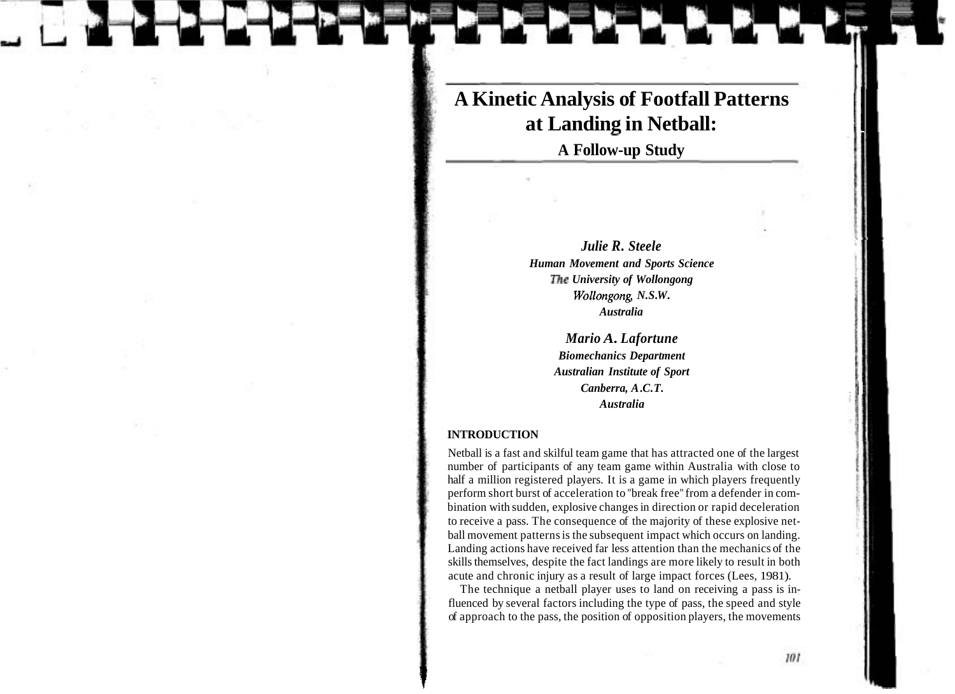# **A Kinetic Analysis of Footfall Patterns at Landing in Netball:**

**A Follow-up Study** 

*Julie R. Steele Human Movement and Sports Science The University of Wollongong Wollongong, N.S. W. Australia* 

> *Mario A. Lafortune Biomechanics Department Australian Institute of Sport Canberra, A.C.T. Australia*

### **INTRODUCTION**

Netball is a fast and skilful team game that has attracted one of the largest number of participants of any team game within Australia with close to half a million registered players. It is a game in which players frequently perform short burst of acceleration to "break free" from a defender in combination with sudden, explosive changes in direction or rapid deceleration to receive a pass. The consequence of the majority of these explosive netball movement patterns is the subsequent impact which occurs on landing. Landing actions have received far less attention than the mechanics of the skills themselves, despite the fact landings are more likely to result in both acute and chronic injury as a result of large impact forces (Lees, 1981).

The technique a netball player uses to land on receiving a pass is influenced by several factors including the type of pass, the speed and style of approach to the pass, the position of opposition players, the movements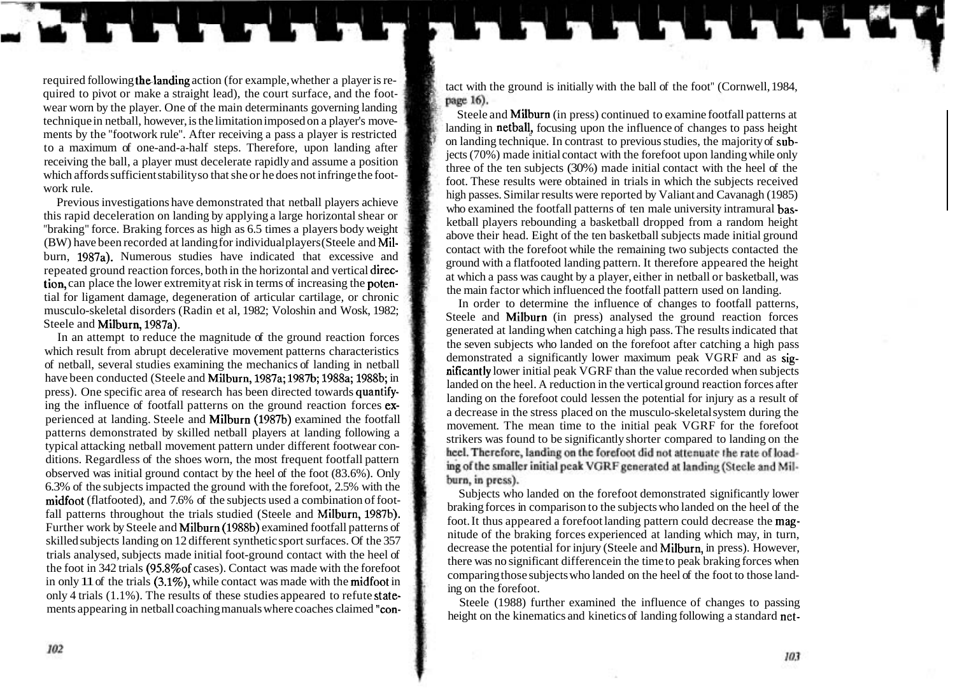required following the landing action (for example, whether a player is re-<br>quired to pivot or make a straight lead), the court surface, and the foot-<br>wear worn by the player. One of the main determinants governing landing wear worn by the player. One of the main determinants governing landing in adducts and Milburn (in press) continued to examine footfall patterns at technique in netball, however, is the limitation imposed on a player's mov ments by the "footwork rule". After receiving a pass a player is restricted on landing in netball, focusing upon the influence of changes to pass height to a maximum of one-and-a-half steps. Therefore, upon landing after t receiving the ball, a player must decelerate rapidly and assume a position<br>receiving the ball, a player must decelerate rapidly and assume a position<br>three of the ten subjects (30%) made initial contact with the heel of th which affords sufficient stability so that she or he does not infringe the foot-<br>work rule.

tial for ligament damage, degeneration of articular cartilage, or chronic In order to determine the influence of changes to footfall patterns,<br>In order to determine the influence of changes to footfall patterns,<br>Steele and

In an attempt to reduce the magnitude of the ground reaction forces<br>which result from abrupt decelerative movement patterns characteristics<br>of netball, several studies examining the mechanics of landing in netball<br>of netba have been conducted (Steele and Milburn, 1987a; 1987b; 1988a; 1988b; in nicial peak VGRF than the value recorded when subjects area of research has been directed towards quantifymate been conducted (sicene and Miburi, 1967a, 1967b, 1968), 1968, 1969, in<br>
press). One specific area of research has been directed towards quantify-<br>
ing the influence of footfall patterns on the ground reaction forces e ditions. Regardless of the shoes worn, the most frequent footfall pattern observed was initial ground contact by the heel of the foot (83.6%). Only 6.3% of the subjects impacted the ground with the forefoot, 2.5% with the  $\frac{\text{midfoot (flatfooted), and 7.6% of the subjects used a combination of foot-}{}$  Subjects who landed on the forefoot demonstrated significantly lower<br>rating forces in comparison to the subjects who landed on the heel of the fall patterns throughout the trials studied (Steele and Milburn, 1987b). braking forces in comparison to the subjects who landed on the heel of the head of the head of the subjects who landed on the heel of the head of the Further work by Steele and Milburn (1988b) examined footfall patterns of foot. It thus appeared a forefoot landing pattern could decrease the mag-<br>Further work by Steele and Milburn (1988b) examined footfall patterns of fu skilled subjects landing on 12 different synthetic sport surfaces. Of the 357 decrease the potential for injury (Steele and Milburn, in press). However, trials analysed, subjects made initial foot-ground contact with the heel of there was no significant difference in the time to peak braking forces when the foot in 342 trials (95.8% of cases). Contact was made with the forefoot comparing those subjects who landed on the heel of the foot to those landin only 11 of the trials (3.1%), while contact was made with the **midfoot** in comparing those subjects only 4 trials (1.1%). The results of these studies appeared to refute state-

work rule.<br>
Not the subjects substrated that netball players achieve<br>
Not These results were obtained in trials in which the subjects received<br>
The previous investigations have demonstrated that netball players achieve<br>
th

Steele and Milburn (in press) analysed the ground reaction forces generated at landing when catching a high pass. The results indicated that ing of the smaller initial peak VGRF generated at landing (Steele and Milburn, in press).

only 4 trials (1.1%). The results of these studies appeared to refute state-<br>ments appearing in netball coaching manuals where coaches claimed "con-<br>height on the kinematics and kinetics of landing following a standard net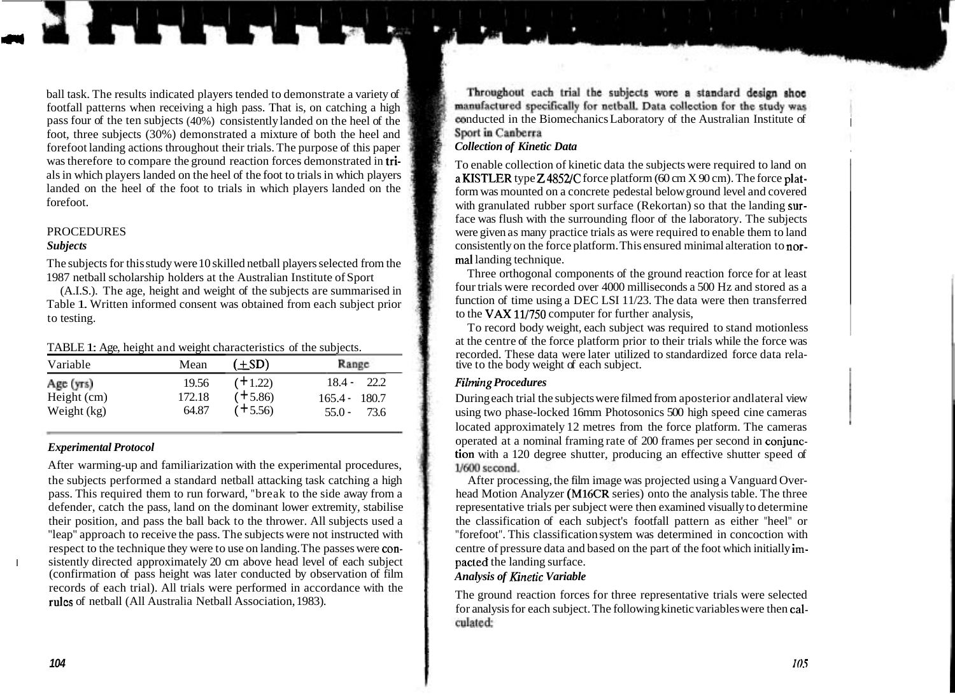ball task. The results indicated players tended to demonstrate a variety of footfall patterns when receiving a high pass. That is, on catching a high pass four of the ten subjects (40%) consistently landed on the heel of the  $\frac{1}{2}$  conducted in the Biomechanics Laboratory of the Australian Institute of foot three subjects (30%) demonstrated a mixture of both the hee foot, three subjects (30%) demonstrated a mixture of both the heel and forefoot landing actions throughout their trials. The purpose of this paper *Collection of Kinetic Data*  was therefore to compare the ground reaction forces demonstrated in tri-<br>also in which players and the foot to trials in which players a **KISTLER** type **Z**4852/C force platform (60 cm X 90 cm). The force platlanded on the heel of the foot to trials in which players landed on the  $\frac{1}{2}$  form was mounted on a concrete pedestal below ground level and covered<br>forefoot.

The subjects for this study were 10 skilled netball players selected from the mall landing technique.<br>Three orthogonal components of the ground reaction force for at least

Table 1. Written informed consent was obtained from each subject prior to testing.

| Variable                                | Mean                     | $(\pm SD)$                          | Range                                                  |
|-----------------------------------------|--------------------------|-------------------------------------|--------------------------------------------------------|
| Age (yrs)<br>Height (cm)<br>Weight (kg) | 19.56<br>172.18<br>64.87 | $(+1.22)$<br>$(+5.86)$<br>$(+5.56)$ | $18.4 -$<br>22.2<br>$165.4 - 180.7$<br>$55.0 -$<br>736 |

After warming-up and familiarization with the experimental procedures, the subjects performed a standard netball attacking task catching a high After processing, the film image was projected using a Vanguard Overpass. This required them to run forward, "break to the side away from a head Motion Analyzer (M16CR series) onto the analysis table. The three defender, catch the pass, land on the dominant lower extremity, stabilise the representative trials per subject were then examined visually to determine their position, and pass the ball back to the thrower. All subjects u their position, and pass the ball back to the thrower. All subjects used a "leap" approach to receive the pass. The subjects were not instructed with "forefoot". This classification system was determined in concoction with respect to the technique they were to use on landing. The passes were con-<br>
centre of pressure data and based on the part of the foot which initially imsistently directed approximately 20 cm above head level of each subject pacted the landing surface.<br>
(confirmation of pass height was later conducted by observation of film *Analysis of Kinetic Variable* records of each trial). All trials were performed in accordance with the rules of netball (All Australia Netball Association, 1983). The ground reaction forces for three representative trials were selected rules of netball (All Australia Netball Association, 1983).

Throughout each trial the subjects wore a standard design shoe manufactured specifically for netball. Data collection for the study was

with granulated rubber sport surface (Rekortan) so that the landing surface was flush with the surrounding floor of the laboratory. The subjects PROCEDURES were given as many practice trials as were required to enable them to land<br>Subjects consistently on the force platform. This ensured minimal alteration to nor-

1987 netball scholarship holders at the Australian Institute of Sport Three orthogonal components of the ground reaction force for at least  $(AB)$ . The age height of the gubiests are summarized in four trials were recorded (A.I.S.). The age, height and weight of the subjects are summarised in four trials were recorded over 4000 milliseconds a 500 Hz and stored as a function of time using a DEC LSI 11/23. The data were then transferred to the VAX  $11/750$  computer for further analysis,

To record body weight, each subject was required to stand motionless TABLE 1: Age, height and weight characteristics of the subjects. at the centre of the force platform prior to their trials while the force was recorded. These data were later utilized to standardized force data rela-<br>tive to the body weight of each subject.

## $Filming$  *Procedures*

During each trial the subjects were filmed from aposterior and lateral view using two phase-locked 16mm Photosonics 500 high speed cine cameras located approximately 12 metres from the force platform. The cameras operated at a nominal framing rate of 200 frames per second in conjunc-**Experimental Protocol**<br>After warming-up and familiarization with the experimental procedures,<br>After warming-up and familiarization with the experimental procedures,<br>1600 second

for analysis for each subject. The following kinetic variables were then calculated: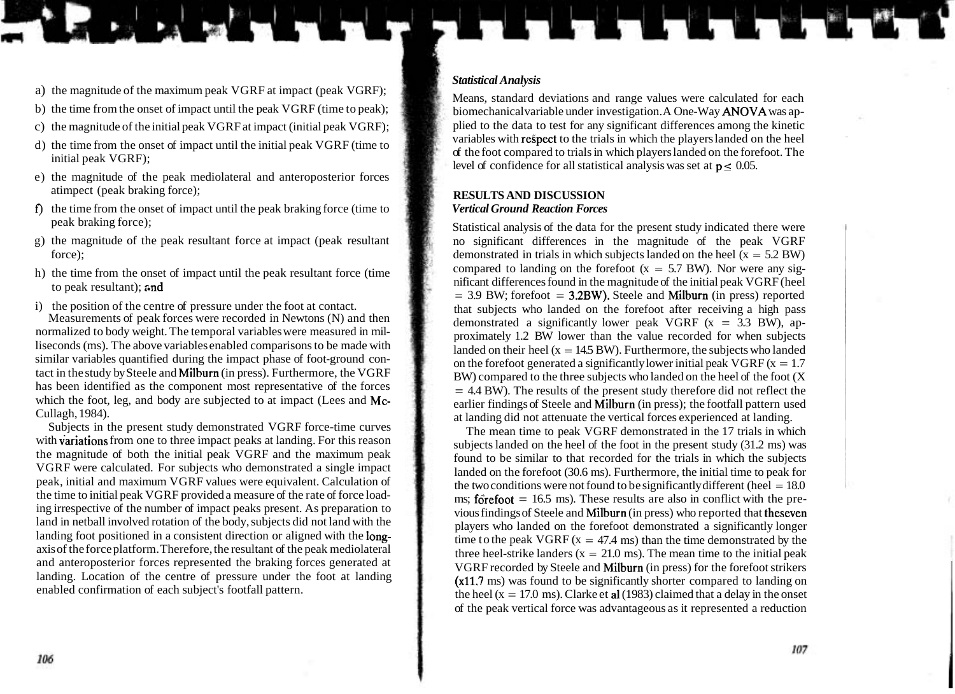- a) the magnitude of the maximum peak VGRF at impact (peak VGRF);
- b) the time from the onset of impact until the peak VGRF (time to peak);
- c) the magnitude of the initial peak VGRF at impact (initial peak VGRF);
- d) the time from the onset of impact until the initial peak VGRF (time to initial peak VGRF);
- e) the magnitude of the peak mediolateral and anteroposterior forces atimpect (peak braking force);
- **f)** the time from the onset of impact until the peak braking force (time to peak braking force);
- g) the magnitude of the peak resultant force at impact (peak resultant force);
- h) the time from the onset of impact until the peak resultant force (time to peak resultant);  $\alpha$ nd

i) the position of the centre of pressure under the foot at contact.

Measurements of peak forces were recorded in Newtons (N) and then normalized to body weight. The temporal variables were measured in milliseconds (ms). The above variables enabled comparisons to be made with similar variables quantified during the impact phase of foot-ground contact in the study by Steele and Milburn (in press). Furthermore, the VGRF has been identified as the component most representative of the forces which the foot, leg, and body are subjected to at impact (Lees and Mc-Cullagh, 1984).

Subjects in the present study demonstrated VGRF force-time curves with variations from one to three impact peaks at landing. For this reason the magnitude of both the initial peak VGRF and the maximum peak VGRF were calculated. For subjects who demonstrated a single impact peak, initial and maximum VGRF values were equivalent. Calculation of the time to initial peak VGRF provided a measure of the rate of force loading irrespective of the number of impact peaks present. As preparation to land in netball involved rotation of the body, subjects did not land with the landing foot positioned in a consistent direction or aligned with the longaxis of the force platform. Therefore, the resultant of the peak mediolateral and anteroposterior forces represented the braking forces generated at landing. Location of the centre of pressure under the foot at landing enabled confirmation of each subject's footfall pattern.

### *Statistical Analysis*

Means, standard deviations and range values were calculated for each biomechanical variable under investigation. A One-Way ANOVA was applied to the data to test for any significant differences among the kinetic variables with respect to the trials in which the players landed on the heel of the foot compared to trials in which players landed on the forefoot. The level of confidence for all statistical analysis was set at  $p \le 0.05$ .

### **RESULTS AND DISCUSSION**  *Vertical Ground Reaction Forces*

Statistical analysis of the data for the present study indicated there were no significant differences in the magnitude of the peak VGRF demonstrated in trials in which subjects landed on the heel  $(x = 5.2$  BW) compared to landing on the forefoot  $(x = 5.7$  BW). Nor were any significant differences found in the magnitude of the initial peak VGRF (heel  $= 3.9$  BW; forefoot  $= 3.2BW$ ). Steele and Milburn (in press) reported that subjects who landed on the forefoot after receiving a high pass demonstrated a significantly lower peak VGRF  $(x = 3.3$  BW), approximately 1.2 BW lower than the value recorded for when subjects landed on their heel ( $x = 14.5$  BW). Furthermore, the subjects who landed on the forefoot generated a significantly lower initial peak VGRF  $(x = 1.7)$ BW) compared to the three subjects who landed on the heel of the foot (X  $= 4.4$  BW). The results of the present study therefore did not reflect the earlier findings of Steele and Milburn (in press); the footfall pattern used at landing did not attenuate the vertical forces experienced at landing.

The mean time to peak VGRF demonstrated in the 17 trials in which subjects landed on the heel of the foot in the present study (31.2 ms) was found to be similar to that recorded for the trials in which the subjects landed on the forefoot (30.6 ms). Furthermore, the initial time to peak for the two conditions were not found to be significantly different (heel  $= 18.0$ ) ms;  $f\ddot{\text{o}}$ refoot = 16.5 ms). These results are also in conflict with the previous findings of Steele and Milburn (in press) who reported that theseven players who landed on the forefoot demonstrated a significantly longer time to the peak VGRF  $(x = 47.4 \text{ ms})$  than the time demonstrated by the three heel-strike landers ( $x = 21.0$  ms). The mean time to the initial peak VGRF recorded by Steele and Milburn (in press) for the forefoot strikers (x11.7 ms) was found to be significantly shorter compared to landing on the heel ( $x = 17.0$  ms). Clarke et al (1983) claimed that a delay in the onset of the peak vertical force was advantageous as it represented a reduction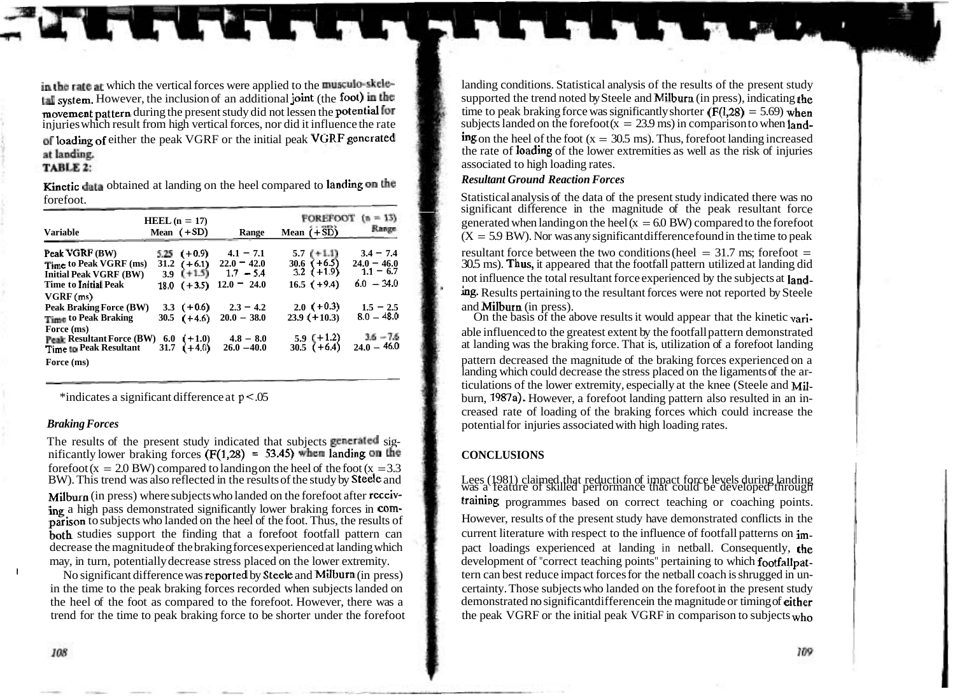**tal system.** However, the inclusion of an additional **joint** (the **foot**) in the supported the trend noted by Steele and **Milburn** (in press), indicating the movement nattern during the present study did not lessen the p movement pattern during the present study did not lessen the potential for<br>injuries which result from high vertical forces, nor did it influence the rate<br>subjects landed on the forefoot  $(x = 23.9 \text{ ms})$  in comparison to whe injuries which result from high vertical forces, nor did it influence the rate subjects landed on the forefoot  $(x = 23.9 \text{ ms})$  in comparison to when land-<br> **ing** on the head on the foot  $(x = 30.5 \text{ ms})$ . Thus, forefoot landi of loading of either the peak VGRF or the initial peak VGRF generated at landing.

### TABLE 2:

Kinetic data obtained at landing on the heel compared to landing on the *Resultant Ground Reaction Forces*  forefoot.

| <b>Variable</b>                                                                                                                             | $HEEL(n = 17)$<br>Mean $(+SD)$   | Range                                                                                 | <b>FOREFOOT</b><br>Mean $(+35)$                                           | $(n = 13)$<br>Range                                         |
|---------------------------------------------------------------------------------------------------------------------------------------------|----------------------------------|---------------------------------------------------------------------------------------|---------------------------------------------------------------------------|-------------------------------------------------------------|
| Peak VGRF (BW)<br>Time to Peak VGRF (ms)<br><b>Initial Peak VGRF (BW)</b><br><b>Time to Initial Peak</b>                                    | $5.25$ (+0.9)<br>$18.0$ $(+3.5)$ | $4.1 - 7.1$<br>$31.2$ (+6.1) $22.0 - 42.0$<br>3.9 $(+1.5)$ 1.7 - 5.4<br>$12.0 - 24.0$ | $5.7$ (+1.1)<br>$30.6 \left( +6.5 \right)$<br>3.2 (+1.9)<br>$16.5$ (+9.4) | $3.4 - 7.4$<br>$24.0 - 46.0$<br>$1.1 - 6.7$<br>$6.0 - 34.0$ |
| VGRF(ms)<br><b>Peak Braking Force (BW)</b><br><b>Time to Peak Braking</b>                                                                   | $30.5$ $(+4.6)$                  | 3.3 $(+0.6)$ 2.3 – 4.2<br>$20.0 - 38.0$                                               | $2.0$ (+0.3)<br>$23.9 (+10.3)$                                            | $1.5 - 2.5$<br>$8.0 - 48.0$                                 |
| Force (ms)<br><b>Peak Resultant Force (BW)</b> 6.0 $(+1.0)$<br>Time to Peak Resultant 31.7 $(+4.0)$<br>Time to Peak Resultant<br>Force (ms) |                                  | $4.8 - 8.0$<br>$26.0 - 40.0$                                                          | $\frac{5.9}{30.5}$ (+1.2)                                                 | $36 - 76$<br>$24.0 - 46.0$                                  |

The results of the present study indicated that subjects generated significantly lower braking forces  $(F(1,28) = 53.45)$  when landing on the **CONCLUSIONS** forefoot (x = 2.0 BW) compared to landing on the heel of the foot (x = 3.3 BW). This trend was also reflected in the results of the study by **Steele** and BW). This trend was also reflected in the results of the study by **Steele** and Lees (1981) claimed that reduction of impact force levels during landing landing vas a feature of skilled performance that could be developed Milburn (in press) where subjects who landed on the forefoot after receiving a high pass demonstrated significantly lower braking forces in com-<br>
ing a high pass demonstrated significantly lower braking forces in com-<br> **Example 1999** a high pass demonstrated significantly lower braking forces i  $\frac{1}{10}$  parison to subjects who landed on the heel of the foot. Thus, the results of **both** studies support the finding that a forefoot footfall pattern can current literature with respect to the influence of footfall patterns on imdecrease the magnitude of the braking forces experienced at landing which pact loadings experienced at landing in netball. Consequently, the

the heel of the foot as compared to the forefoot. However, there was a demonstrated no significant difference in the magnitude or timing of either then d for the time to peak braking force to be shorter under the forefoot trend for the time to peak braking force to be shorter under the forefoot

in the rate at which the vertical forces were applied to the musculo-skele-<br> **In the select of the results** of the results of the present study<br> **In the subported** the trend noted by Steele and **Milburn** (in press), indica the rate of loading of the lower extremities as well as the risk of injuries associated to high loading rates.

significant difference in the magnitude of the peak resultant force generated when landing on the heel ( $x = 6.0$  BW) compared to the forefoot  $(X = 5.9$  BW). Nor was any significant difference found in the time to peak

resultant force between the two conditions (heel  $=$  31.7 ms; forefoot  $=$ **30.5** ms). **Thus,** it appeared that the footfall pattern utilized at landing did not influence the total resultant force experienced by the subjects at landing. Results pertaining to the resultant forces were not reported by Steele and **Milburn** (in press).

On the basis of the above results it would appear that the kinetic variable influenced to the greatest extent by the footfall pattern demonstrated at landing was the braking force. That is, utilization of a forefoot landing

pattern decreased the magnitude of the braking forces experienced on a landing which could decrease the stress placed on the ligaments of the articulations of the lower extremity, especially at the knee (Steele and Mil- \*indicates a significant difference at  $p < 0.05$  burn, 1987a). However, a forefoot landing pattern also resulted in an increased rate of loading of the braking forces which could increase the **Braking Forces potential for injuries associated with high loading rates.** 

may, in turn, potentially decrease stress placed on the lower extremity. development of "correct teaching points" pertaining to which footfallpat-No significant difference was **reported** by Steele and Milburn (in press) tern can best reduce impact forces for the netball coach is shrugged in unin the time to the peak braking forces recorded when subjects landed on certainty. Those subjects who landed on the forefoot in the present study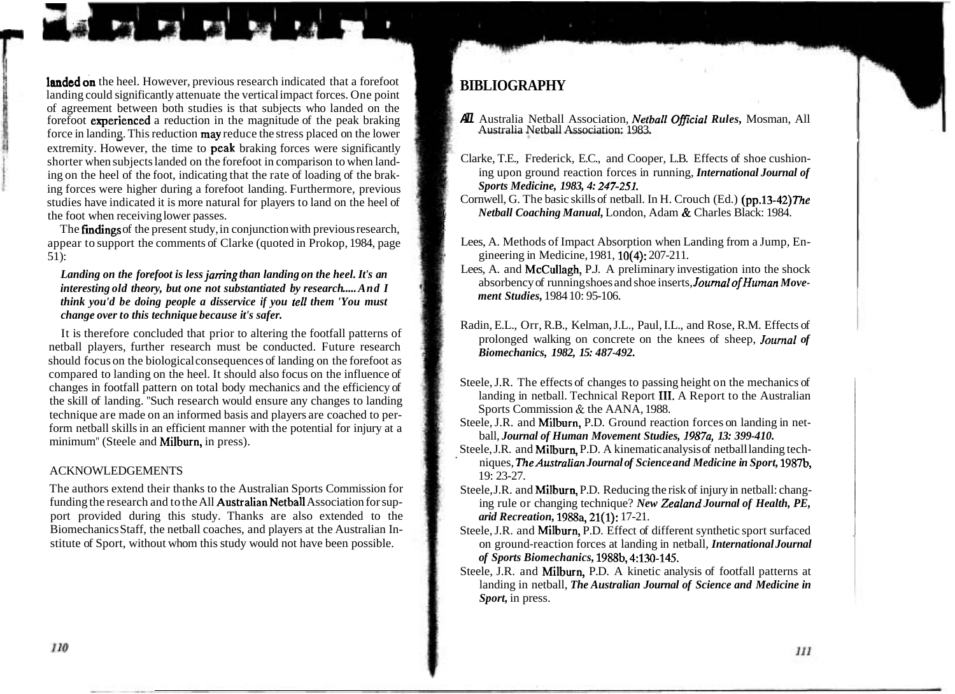landed on the heel. However, previous research indicated that a forefoot **landed on** the heel. However, previous research indicated that a forefoot **BIBLIOGRAPHY** landing could significantly attenuate the vertical impact forces. One point of agreement between both studies is that subjects who landed on the forefoot experienced a reduction in the magnitude of the peak braking **All** Australia Netball Association, *Netball Oficial Rules,* Mosman, All force in landing. This reduction **may** reduce the stress placed on the lower extremity. However, the time to **peak** braking forces were significantly shorter when subjects landed on the forefoot in comparison to when landing on the heel of the foot, indicating that the rate of loading of the braking forces were higher during a forefoot landing. Furthermore, previous studies have indicated it is more natural for players to land on the heel of the foot when receiving lower passes.

The **findings** of the present study, in conjunction with previous research, appear to support the comments of Clarke (quoted in Prokop, 1984, page 51):

### *Landing on the forefoot is less jarring than landing on the heel. It's an interesting old theory, but one not substantiated by research* ..... *And I think you'd be doing people a disservice if you tell them 'You must change over to this technique because it's safer.*

It is therefore concluded that prior to altering the footfall patterns of netball players, further research must be conducted. Future research should focus on the biological consequences of landing on the forefoot as compared to landing on the heel. It should also focus on the influence of changes in footfall pattern on total body mechanics and the efficiency of the skill of landing. "Such research would ensure any changes to landing technique are made on an informed basis and players are coached to perform netball skills in an efficient manner with the potential for injury at a minimum" (Steele and Milburn, in press).

### ACKNOWLEDGEMENTS

The authors extend their thanks to the Australian Sports Commission for funding the research and to the All Australian Netball Association for support provided during this study. Thanks are also extended to the Biomechanics Staff, the netball coaches, and players at the Australian Institute of Sport, without whom this study would not have been possible.

*I* 

- 
- Clarke, T.E., Frederick, E.C., and Cooper, L.B. Effects of shoe cushioning upon ground reaction forces in running, *International Journal of Sports Medicine, 1983, 4: 247-251.*
- Cornwell, G. The basic skills of netball. In H. Crouch (Ed.) (pp.13-42) The *Netball Coaching Manual,* London, Adam & Charles Black: 1984. <sup>b</sup>
- Lees, A. Methods of Impact Absorption when Landing from a Jump, Engineering in Medicine, 1981, 10(4); 207-211.
- Lees, A. and McCullagh, P.J. A preliminary investigation into the shock absorbency of running shoes and shoe inserts, *JournalofHuman Movement Studies,* 1984 10: 95-106.
- Radin, E.L., Orr, R.B., Kelman, J.L., Paul, I.L., and Rose, R.M. Effects of prolonged walking on concrete on the knees of sheep, *Jounial of Biomechanics, 1982, 15: 487-492.*
- Steele, J.R. The effects of changes to passing height on the mechanics of landing in netball. Technical Report 111. A Report to the Australian Sports Commission & the AANA, 1988.
- Steele, J.R. and Milburn, P.D. Ground reaction forces on landing in netball, *Journal of Human Movement Studies, 1987a, 13: 399-410.*
- Steele, J.R. and Milburn, P.D. A kinematic analysis of netball landing techniques, *TheAustralian Journal of Science and Medicine in Sport,* 1987b, 19: 23-27.
- Steele, J.R. and Milburn, P.D. Reducing the risk of injury in netball: changing rule or changing technique? *New Zealand Journal of Health, PE, arid Recreation,* 1988a, 21(1): 17-21.
- Steele, J.R. and Milburn, P.D. Effect of different synthetic sport surfaced on ground-reaction forces at landing in netball, *International Journal of Sports Biomechanics,* 1988b, 4:130-145.
- Steele, J.R. and Milburn, P.D. A kinetic analysis of footfall patterns at landing in netball, *The Australian Journal of Science and Medicine in Sport,* in press.